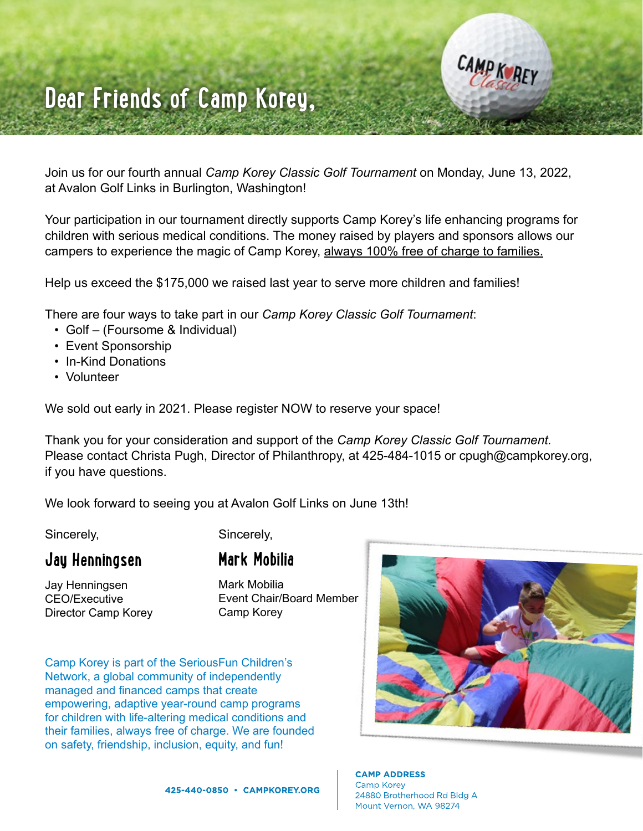

## **Dear Friends of Camp Korey,**

Join us for our fourth annual *Camp Korey Classic Golf Tournament* on Monday, June 13, 2022, at Avalon Golf Links in Burlington, Washington!

Your participation in our tournament directly supports Camp Korey's life enhancing programs for children with serious medical conditions. The money raised by players and sponsors allows our campers to experience the magic of Camp Korey, always 100% free of charge to families.

Help us exceed the \$175,000 we raised last year to serve more children and families!

There are four ways to take part in our *Camp Korey Classic Golf Tournament*:

- Golf (Foursome & Individual)
- Event Sponsorship
- In-Kind Donations
- Volunteer

We sold out early in 2021. Please register NOW to reserve your space!

Thank you for your consideration and support of the *Camp Korey Classic Golf Tournament.*  Please contact Christa Pugh, Director of Philanthropy, at 425-484-1015 or cpugh@campkorey.org, if you have questions.

We look forward to seeing you at Avalon Golf Links on June 13th!

Sincerely,

Sincerely,

**Mark Mobilia** 

#### **Jay Henningsen**

Jay Henningsen CEO/Executive Director Camp Korey Mark Mobilia Event Chair/Board Member Camp Korey

Camp Korey is part of the SeriousFun Children's Network, a global community of independently managed and financed camps that create empowering, adaptive year-round camp programs for children with life-altering medical conditions and their families, always free of charge. We are founded on safety, friendship, inclusion, equity, and fun!



**CAMP ADDRESS** Camp Korey 24880 Brotherhood Rd Bldg A Mount Vernon, WA 98274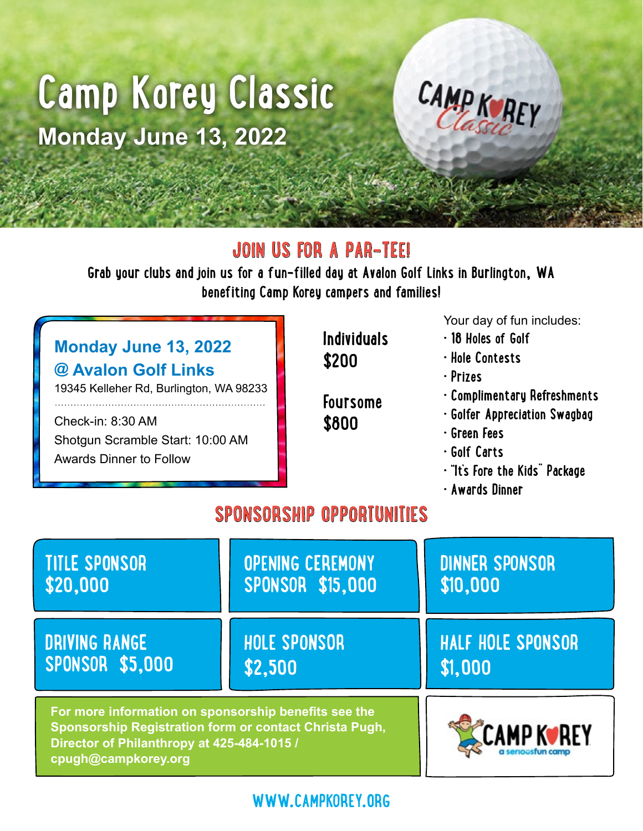# **Camp Korey Classic Monday June 13, 2022**



### **JOIN US FOR A PAR-TEE!**

**Grab your clubs and join us for a fun-filled day at Avalon Golf Links in Burlington, WA benefiting Camp Korey campers and families!**

#### **Monday June 13, 2022 @ Avalon Golf Links**

19345 Kelleher Rd, Burlington, WA 98233

Check-in: 8:30 AM Shotgun Scramble Start: 10:00 AM Awards Dinner to Follow

**Individuals \$200 Foursome** 

**\$800**

Your day of fun includes:

- **18 Holes of Golf**
- **Hole Contests**
- **Prizes**
- **Complimentary Refreshments**
- **Golfer Appreciation Swagbag**
- **Green Fees**
- **Golf Carts**
- **"It's Fore the Kids" Package**
- **Awards Dinner**

## **SPONSORSHIP OPPORTUNITIES**

| <b>TITLE SPONSOR</b>                                                                                                                                                                | <b>OPENING CEREMONY</b> | <b>DINNER SPONSOR</b>    |  |  |
|-------------------------------------------------------------------------------------------------------------------------------------------------------------------------------------|-------------------------|--------------------------|--|--|
| \$20,000                                                                                                                                                                            | <b>SPONSOR \$15,000</b> | \$10,000                 |  |  |
| <b>DRIVING RANGE</b>                                                                                                                                                                | <b>HOLE SPONSOR</b>     | <b>HALF HOLE SPONSOR</b> |  |  |
| <b>SPONSOR \$5,000</b>                                                                                                                                                              | \$2,500                 | \$1,000                  |  |  |
| For more information on sponsorship benefits see the<br>Sponsorship Registration form or contact Christa Pugh,<br>Director of Philanthropy at 425-484-1015 /<br>cpugh@campkorey.org | CAMP K∙REY              |                          |  |  |

**WWW.CAMPKOREY.ORG**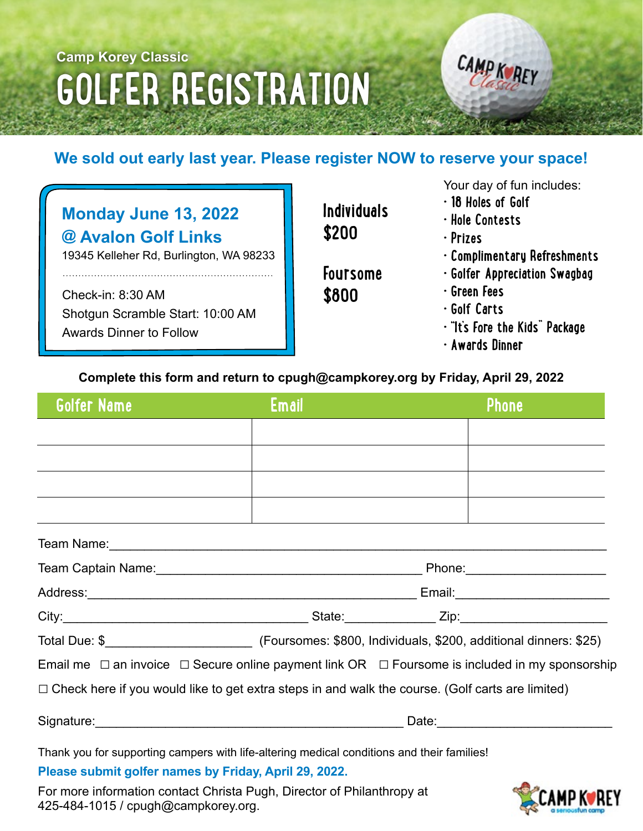## **Camp Korey Classic GOLFER REGISTRATION**



#### **We sold out early last year. Please register NOW to reserve your space!**

| <b>Monday June 13, 2022</b> |
|-----------------------------|
| @ Avalon Golf Links         |

19345 Kelleher Rd, Burlington, WA 98233

Check-in: 8:30 AM Shotgun Scramble Start: 10:00 AM Awards Dinner to Follow

**Individuals \$200**

**Foursome \$800**

Your day of fun includes:

- **18 Holes of Golf**
- **Hole Contests**
- **Prizes**
- **Complimentary Refreshments**
- **Golfer Appreciation Swagbag**
- **Green Fees**
- **Golf Carts**
- **"It's Fore the Kids" Package**
- **Awards Dinner**

#### **Complete this form and return to cpugh@campkorey.org by Friday, April 29, 2022**

| <b>Golfer Name</b>                                                                                                         | <b>Email</b> |  | <b>Phone</b> |  |
|----------------------------------------------------------------------------------------------------------------------------|--------------|--|--------------|--|
| <u> 1999 - Jan James Alexander (f. 1989)</u>                                                                               |              |  |              |  |
|                                                                                                                            |              |  |              |  |
| <u> 1989 - Andrea Stadt Britain, amerikansk politiker (d. 1989)</u>                                                        |              |  |              |  |
| <u> 1999 - Johann Stone, Amerikaansk politiker († 1908)</u><br><u> 1989 - Johann Stein, Amerikaansk politiker (* 1908)</u> |              |  |              |  |
|                                                                                                                            |              |  |              |  |
|                                                                                                                            |              |  |              |  |
|                                                                                                                            |              |  |              |  |
|                                                                                                                            |              |  |              |  |
|                                                                                                                            |              |  |              |  |
| Email me $\Box$ an invoice $\Box$ Secure online payment link OR $\Box$ Foursome is included in my sponsorship              |              |  |              |  |
| $\Box$ Check here if you would like to get extra steps in and walk the course. (Golf carts are limited)                    |              |  |              |  |
|                                                                                                                            |              |  |              |  |
| Thank you for supporting campers with life-altering medical conditions and their families!                                 |              |  |              |  |
| Please submit golfer names by Friday, April 29, 2022.                                                                      |              |  |              |  |

For more information contact Christa Pugh, Director of Philanthropy at 425-484-1015 / cpugh@campkorey.org.

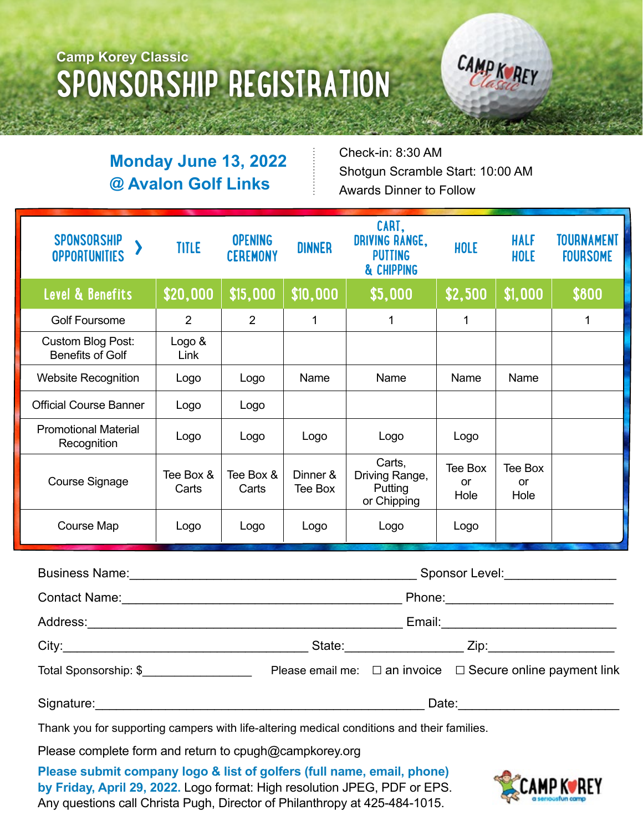## **Camp Korey Classic SPONSORSHIP REGISTRATION**

CAMP K REY

#### **Monday June 13, 2022 @ Avalon Golf Links**

Check-in: 8:30 AM Shotgun Scramble Start: 10:00 AM Awards Dinner to Follow

| <b>SPONSORSHIP</b><br><b>OPPORTUNITIES</b>   | <b>TITLE</b>       | <b>OPENING</b><br><b>CEREMONY</b> | <b>DINNER</b>       | CART,<br><b>DRIVING RANGE,</b><br><b>PUTTING</b><br>& CHIPPING | HOLE                         | <b>HALF</b><br>HOLE   | TOURNAMENT<br><b>FOURSOME</b> |
|----------------------------------------------|--------------------|-----------------------------------|---------------------|----------------------------------------------------------------|------------------------------|-----------------------|-------------------------------|
| Level & Benefits                             | \$20,000           | \$15,000                          | \$10,000            | \$5,000                                                        | \$2,500                      | \$1,000               | \$800                         |
| <b>Golf Foursome</b>                         | $\overline{2}$     | 2                                 | 1                   | 1                                                              | 1                            |                       | 1                             |
| Custom Blog Post:<br><b>Benefits of Golf</b> | Logo &<br>Link     |                                   |                     |                                                                |                              |                       |                               |
| <b>Website Recognition</b>                   | Logo               | Logo                              | Name                | Name                                                           | Name                         | Name                  |                               |
| <b>Official Course Banner</b>                | Logo               | Logo                              |                     |                                                                |                              |                       |                               |
| <b>Promotional Material</b><br>Recognition   | Logo               | Logo                              | Logo                | Logo                                                           | Logo                         |                       |                               |
| Course Signage                               | Tee Box &<br>Carts | Tee Box &<br>Carts                | Dinner &<br>Tee Box | Carts,<br>Driving Range,<br>Putting<br>or Chipping             | Tee Box<br><b>or</b><br>Hole | Tee Box<br>or<br>Hole |                               |
| Course Map                                   | Logo               | Logo                              | Logo                | Logo                                                           | Logo                         |                       |                               |
| <b>Rugingee Namo:</b>                        |                    |                                   |                     |                                                                | Snoneor Lavel                |                       |                               |

|                       | Sponsor Level: __________________ |                                                                      |  |
|-----------------------|-----------------------------------|----------------------------------------------------------------------|--|
|                       |                                   |                                                                      |  |
|                       |                                   |                                                                      |  |
|                       |                                   |                                                                      |  |
| Total Sponsorship: \$ |                                   | Please email me: $\Box$ an invoice $\Box$ Secure online payment link |  |
| Signature:            | Date:                             |                                                                      |  |

Thank you for supporting campers with life-altering medical conditions and their families.

Please complete form and return to cpugh@campkorey.org

**Please submit company logo & list of golfers (full name, email, phone) by Friday, April 29, 2022.** Logo format: High resolution JPEG, PDF or EPS. Any questions call Christa Pugh, Director of Philanthropy at 425-484-1015.